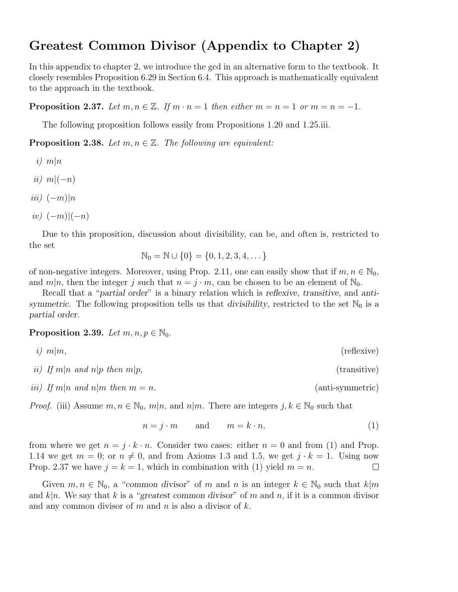## Greatest Common Divisor (Appendix to Chapter 2)

In this appendix to chapter 2, we introduce the gcd in an alternative form to the textbook. It closely resembles Proposition 6.29 in Section 6.4. This approach is mathematically equivalent to the approach in the textbook.

**Proposition 2.37.** Let  $m, n \in \mathbb{Z}$ . If  $m \cdot n = 1$  then either  $m = n = 1$  or  $m = n = -1$ .

The following proposition follows easily from Propositions 1.20 and 1.25.iii.

**Proposition 2.38.** Let  $m, n \in \mathbb{Z}$ . The following are equivalent:

- i)  $m|n$
- ii)  $m|(-n)$
- $iii)$   $(-m)|n$
- $iv)$   $(-m)|(-n)$

Due to this proposition, discussion about divisibility, can be, and often is, restricted to the set

$$
\mathbb{N}_0 = \mathbb{N} \cup \{0\} = \{0, 1, 2, 3, 4, \dots\}
$$

of non-negative integers. Moreover, using Prop. 2.11, one can easily show that if  $m, n \in \mathbb{N}_0$ , and  $m|n$ , then the integer j such that  $n = j \cdot m$ , can be chosen to be an element of  $\mathbb{N}_0$ .

Recall that a "partial order" is a binary relation which is reflexive, transitive, and antisymmetric. The following proposition tells us that divisibility, restricted to the set  $\mathbb{N}_0$  is a partial order.

## **Proposition 2.39.** Let  $m, n, p \in \mathbb{N}_0$ .

$$
i) \ \ m|m,
$$
 (reflexive)

ii) If  $m|n$  and  $n|p$  then  $m|p$ , (transitive)

iii) If  $m|n$  and  $n|m$  then  $m = n$ . (anti-symmetric)

*Proof.* (iii) Assume  $m, n \in \mathbb{N}_0$ ,  $m|n$ , and  $n|m$ . There are integers  $j, k \in \mathbb{N}_0$  such that

$$
n = j \cdot m \qquad \text{and} \qquad m = k \cdot n,\tag{1}
$$

from where we get  $n = j \cdot k \cdot n$ . Consider two cases: either  $n = 0$  and from (1) and Prop. 1.14 we get  $m = 0$ ; or  $n \neq 0$ , and from Axioms 1.3 and 1.5, we get  $j \cdot k = 1$ . Using now Prop. 2.37 we have  $j = k = 1$ , which in combination with (1) yield  $m = n$ .  $\Box$ 

Given  $m, n \in \mathbb{N}_0$ , a "common divisor" of m and n is an integer  $k \in \mathbb{N}_0$  such that  $k|m$ and  $k|n$ . We say that k is a "greatest common divisor" of m and n, if it is a common divisor and any common divisor of m and n is also a divisor of  $k$ .